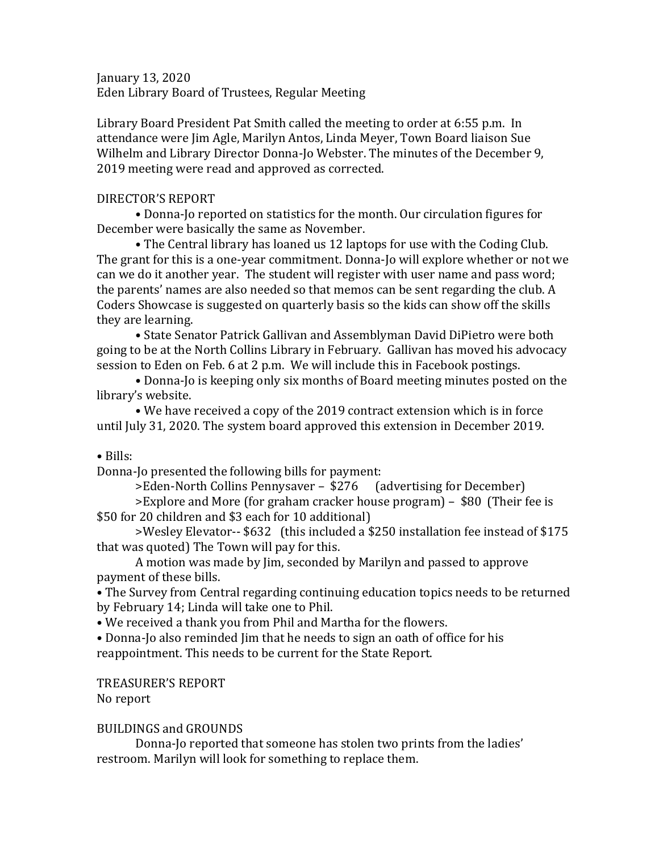January 13, 2020 Eden Library Board of Trustees, Regular Meeting

Library Board President Pat Smith called the meeting to order at 6:55 p.m. In attendance were Jim Agle, Marilyn Antos, Linda Meyer, Town Board liaison Sue Wilhelm and Library Director Donna-Jo Webster. The minutes of the December 9, 2019 meeting were read and approved as corrected.

## DIRECTOR'S REPORT

• Donna-Jo reported on statistics for the month. Our circulation figures for December were basically the same as November.

• The Central library has loaned us 12 laptops for use with the Coding Club. The grant for this is a one-year commitment. Donna-Jo will explore whether or not we can we do it another year. The student will register with user name and pass word; the parents' names are also needed so that memos can be sent regarding the club. A Coders Showcase is suggested on quarterly basis so the kids can show off the skills they are learning.

• State Senator Patrick Gallivan and Assemblyman David DiPietro were both going to be at the North Collins Library in February. Gallivan has moved his advocacy session to Eden on Feb. 6 at 2 p.m. We will include this in Facebook postings.

• Donna-Jo is keeping only six months of Board meeting minutes posted on the library's website.

• We have received a copy of the 2019 contract extension which is in force until July 31, 2020. The system board approved this extension in December 2019.

• Bills:

Donna-Jo presented the following bills for payment:

>Eden-North Collins Pennysaver – \$276 (advertising for December) >Explore and More (for graham cracker house program) – \$80 (Their fee is

\$50 for 20 children and \$3 each for 10 additional)

>Wesley Elevator-- \$632 (this included a \$250 installation fee instead of \$175 that was quoted) The Town will pay for this.

A motion was made by Jim, seconded by Marilyn and passed to approve payment of these bills.

• The Survey from Central regarding continuing education topics needs to be returned by February 14; Linda will take one to Phil.

• We received a thank you from Phil and Martha for the flowers.

• Donna-Jo also reminded Jim that he needs to sign an oath of office for his reappointment. This needs to be current for the State Report.

TREASURER'S REPORT

No report

## BUILDINGS and GROUNDS

Donna-Jo reported that someone has stolen two prints from the ladies' restroom. Marilyn will look for something to replace them.